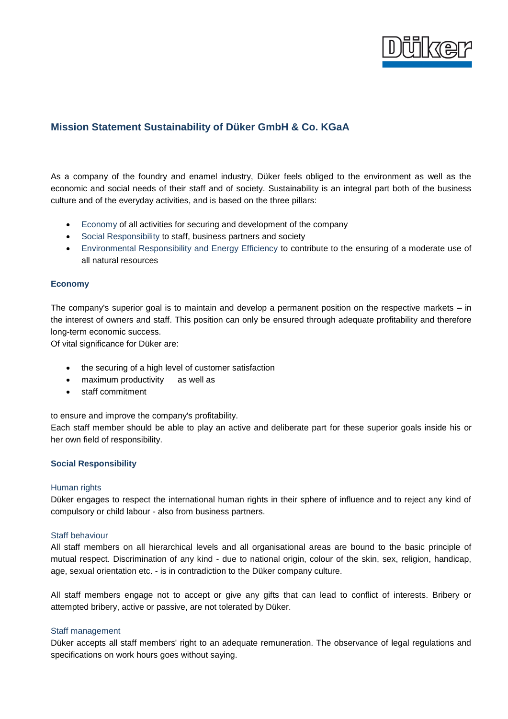

# **Mission Statement Sustainability of Düker GmbH & Co. KGaA**

As a company of the foundry and enamel industry, Düker feels obliged to the environment as well as the economic and social needs of their staff and of society. Sustainability is an integral part both of the business culture and of the everyday activities, and is based on the three pillars:

- Economy of all activities for securing and development of the company
- Social Responsibility to staff, business partners and society
- Environmental Responsibility and Energy Efficiency to contribute to the ensuring of a moderate use of all natural resources

# **Economy**

The company's superior goal is to maintain and develop a permanent position on the respective markets – in the interest of owners and staff. This position can only be ensured through adequate profitability and therefore long-term economic success.

Of vital significance for Düker are:

- the securing of a high level of customer satisfaction
- maximum productivity as well as
- staff commitment

to ensure and improve the company's profitability.

Each staff member should be able to play an active and deliberate part for these superior goals inside his or her own field of responsibility.

# **Social Responsibility**

### Human rights

Düker engages to respect the international human rights in their sphere of influence and to reject any kind of compulsory or child labour - also from business partners.

### Staff behaviour

All staff members on all hierarchical levels and all organisational areas are bound to the basic principle of mutual respect. Discrimination of any kind - due to national origin, colour of the skin, sex, religion, handicap, age, sexual orientation etc. - is in contradiction to the Düker company culture.

All staff members engage not to accept or give any gifts that can lead to conflict of interests. Bribery or attempted bribery, active or passive, are not tolerated by Düker.

# Staff management

Düker accepts all staff members' right to an adequate remuneration. The observance of legal regulations and specifications on work hours goes without saying.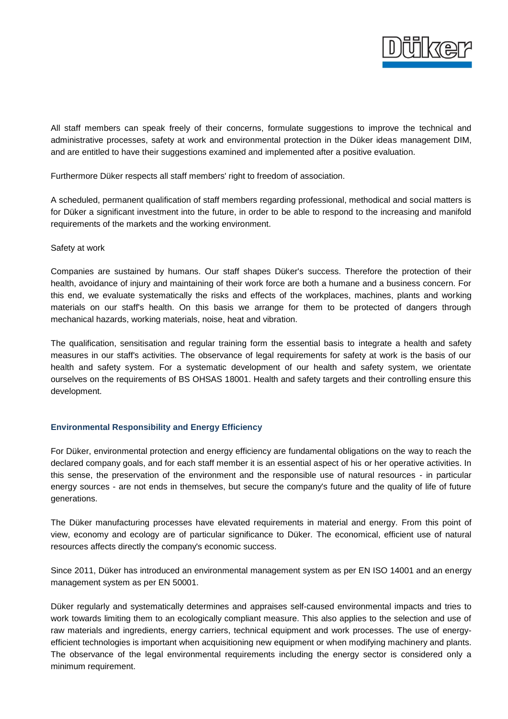

All staff members can speak freely of their concerns, formulate suggestions to improve the technical and administrative processes, safety at work and environmental protection in the Düker ideas management DIM, and are entitled to have their suggestions examined and implemented after a positive evaluation.

Furthermore Düker respects all staff members' right to freedom of association.

A scheduled, permanent qualification of staff members regarding professional, methodical and social matters is for Düker a significant investment into the future, in order to be able to respond to the increasing and manifold requirements of the markets and the working environment.

### Safety at work

Companies are sustained by humans. Our staff shapes Düker's success. Therefore the protection of their health, avoidance of injury and maintaining of their work force are both a humane and a business concern. For this end, we evaluate systematically the risks and effects of the workplaces, machines, plants and working materials on our staff's health. On this basis we arrange for them to be protected of dangers through mechanical hazards, working materials, noise, heat and vibration.

The qualification, sensitisation and regular training form the essential basis to integrate a health and safety measures in our staff's activities. The observance of legal requirements for safety at work is the basis of our health and safety system. For a systematic development of our health and safety system, we orientate ourselves on the requirements of BS OHSAS 18001. Health and safety targets and their controlling ensure this development.

# **Environmental Responsibility and Energy Efficiency**

For Düker, environmental protection and energy efficiency are fundamental obligations on the way to reach the declared company goals, and for each staff member it is an essential aspect of his or her operative activities. In this sense, the preservation of the environment and the responsible use of natural resources - in particular energy sources - are not ends in themselves, but secure the company's future and the quality of life of future generations.

The Düker manufacturing processes have elevated requirements in material and energy. From this point of view, economy and ecology are of particular significance to Düker. The economical, efficient use of natural resources affects directly the company's economic success.

Since 2011, Düker has introduced an environmental management system as per EN ISO 14001 and an energy management system as per EN 50001.

Düker regularly and systematically determines and appraises self-caused environmental impacts and tries to work towards limiting them to an ecologically compliant measure. This also applies to the selection and use of raw materials and ingredients, energy carriers, technical equipment and work processes. The use of energyefficient technologies is important when acquisitioning new equipment or when modifying machinery and plants. The observance of the legal environmental requirements including the energy sector is considered only a minimum requirement.